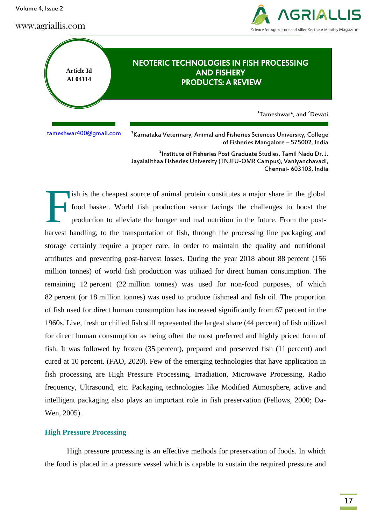Volume 4, Issue 2

www.agriallis.com



# **Article Id AL04114** NEOTERIC TECHNOLOGIES IN FISH PROCESSING AND FISHERY PRODUCTS: A REVIEW <sup>1</sup>Tameshwar\*, and <sup>2</sup>Devati

[tameshwar400@gmail.com](mailto:tameshwar400@gmail.com) <sup>1</sup>

<sup>1</sup> Karnataka Veterinary, Animal and Fisheries Sciences University, College of Fisheries Mangalore – 575002, India

<sup>2</sup>Institute of Fisheries Post Graduate Studies, Tamil Nadu Dr. J. Jayalalithaa Fisheries University (TNJFU-OMR Campus), Vaniyanchavadi, Chennai- 603103, India

ish is the cheapest source of animal protein constitutes a major share in the global food basket. World fish production sector facings the challenges to boost the production to alleviate the hunger and mal nutrition in the future. From the postharvest handling, to the transportation of fish, through the processing line packaging and storage certainly require a proper care, in order to maintain the quality and nutritional attributes and preventing post-harvest losses. During the year 2018 about 88 percent (156 million tonnes) of world fish production was utilized for direct human consumption. The remaining 12 percent (22 million tonnes) was used for non-food purposes, of which 82 percent (or 18 million tonnes) was used to produce fishmeal and fish oil. The proportion of fish used for direct human consumption has increased significantly from 67 percent in the 1960s. Live, fresh or chilled fish still represented the largest share (44 percent) of fish utilized for direct human consumption as being often the most preferred and highly priced form of fish. It was followed by frozen (35 percent), prepared and preserved fish (11 percent) and cured at 10 percent. (FAO, 2020). Few of the emerging technologies that have application in fish processing are High Pressure Processing, Irradiation, Microwave Processing, Radio frequency, Ultrasound, etc. Packaging technologies like Modified Atmosphere, active and intelligent packaging also plays an important role in fish preservation (Fellows, 2000; Da-Wen, 2005). F

# **High Pressure Processing**

High pressure processing is an effective methods for preservation of foods. In which the food is placed in a pressure vessel which is capable to sustain the required pressure and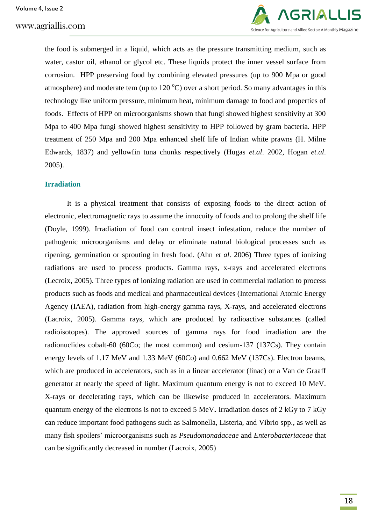

the food is submerged in a liquid, which acts as the pressure transmitting medium, such as water, castor oil, ethanol or glycol etc. These liquids protect the inner vessel surface from corrosion. HPP preserving food by combining elevated pressures (up to 900 Mpa or good atmosphere) and moderate tem (up to  $120^{\circ}$ C) over a short period. So many advantages in this technology like uniform pressure, minimum heat, minimum damage to food and properties of foods. Effects of HPP on microorganisms shown that fungi showed highest sensitivity at 300 Mpa to 400 Mpa fungi showed highest sensitivity to HPP followed by gram bacteria. HPP treatment of 250 Mpa and 200 Mpa enhanced shelf life of Indian white prawns (H. Milne Edwards, 1837) and yellowfin tuna chunks respectively (Hugas *et.al*. 2002, Hogan *et.al*. 2005).

# **Irradiation**

It is a physical treatment that consists of exposing foods to the direct action of electronic, electromagnetic rays to assume the innocuity of foods and to prolong the shelf life (Doyle, 1999). Irradiation of food can control insect infestation, reduce the number of pathogenic microorganisms and delay or eliminate natural biological processes such as ripening, germination or sprouting in fresh food. (Ahn *et al*. 2006) Three types of ionizing radiations are used to process products. Gamma rays, x-rays and accelerated electrons (Lecroix, 2005). Three types of ionizing radiation are used in commercial radiation to process products such as foods and medical and pharmaceutical devices (International Atomic Energy Agency (IAEA), radiation from high-energy gamma rays, X-rays, and accelerated electrons (Lacroix, 2005). Gamma rays, which are produced by radioactive substances (called radioisotopes). The approved sources of gamma rays for food irradiation are the radionuclides cobalt-60 (60Co; the most common) and cesium-137 (137Cs). They contain energy levels of 1.17 MeV and 1.33 MeV (60Co) and 0.662 MeV (137Cs). Electron beams, which are produced in accelerators, such as in a linear accelerator (linac) or a Van de Graaff generator at nearly the speed of light. Maximum quantum energy is not to exceed 10 MeV. X-rays or decelerating rays, which can be likewise produced in accelerators. Maximum quantum energy of the electrons is not to exceed 5 MeV**.** Irradiation doses of 2 kGy to 7 kGy can reduce important food pathogens such as Salmonella, Listeria, and Vibrio spp., as well as many fish spoilers" microorganisms such as *Pseudomonadaceae* and *Enterobacteriaceae* that can be significantly decreased in number (Lacroix, 2005)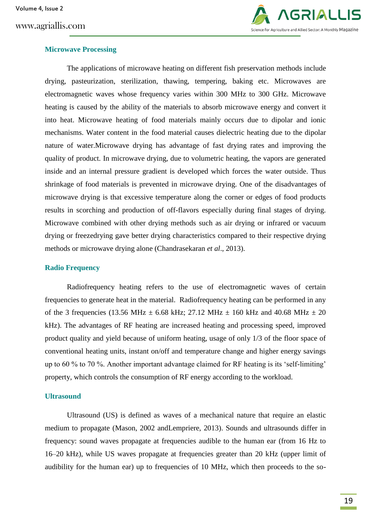# www.agriallis.com



# **Microwave Processing**

The applications of microwave heating on different fish preservation methods include drying, pasteurization, sterilization, thawing, tempering, baking etc. Microwaves are electromagnetic waves whose frequency varies within 300 MHz to 300 GHz. Microwave heating is caused by the ability of the materials to absorb microwave energy and convert it into heat. Microwave heating of food materials mainly occurs due to dipolar and ionic mechanisms. Water content in the food material causes dielectric heating due to the dipolar nature of water.Microwave drying has advantage of fast drying rates and improving the quality of product. In microwave drying, due to volumetric heating, the vapors are generated inside and an internal pressure gradient is developed which forces the water outside. Thus shrinkage of food materials is prevented in microwave drying. One of the disadvantages of microwave drying is that excessive temperature along the corner or edges of food products results in scorching and production of off-flavors especially during final stages of drying. Microwave combined with other drying methods such as air drying or infrared or vacuum drying or freezedrying gave better drying characteristics compared to their respective drying methods or microwave drying alone (Chandrasekaran *et al*., 2013).

#### **Radio Frequency**

Radiofrequency heating refers to the use of electromagnetic waves of certain frequencies to generate heat in the material. Radiofrequency heating can be performed in any of the 3 frequencies (13.56 MHz  $\pm$  6.68 kHz; 27.12 MHz  $\pm$  160 kHz and 40.68 MHz  $\pm$  20 kHz). The advantages of RF heating are increased heating and processing speed, improved product quality and yield because of uniform heating, usage of only 1/3 of the floor space of conventional heating units, instant on/off and temperature change and higher energy savings up to 60 % to 70 %. Another important advantage claimed for RF heating is its "self-limiting" property, which controls the consumption of RF energy according to the workload.

#### **Ultrasound**

Ultrasound (US) is defined as waves of a mechanical nature that require an elastic medium to propagate (Mason, 2002 andLempriere, 2013). Sounds and ultrasounds differ in frequency: sound waves propagate at frequencies audible to the human ear (from 16 Hz to 16–20 kHz), while US waves propagate at frequencies greater than 20 kHz (upper limit of audibility for the human ear) up to frequencies of 10 MHz, which then proceeds to the so-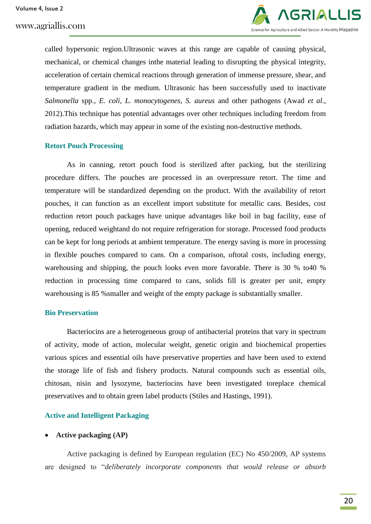

called hypersonic region.Ultrasonic waves at this range are capable of causing physical, mechanical, or chemical changes inthe material leading to disrupting the physical integrity, acceleration of certain chemical reactions through generation of immense pressure, shear, and temperature gradient in the medium. Ultrasonic has been successfully used to inactivate *Salmonella* spp., *E. coli*, *L. monocytogenes*, *S. aureus* and other pathogens (Awad *et al*., 2012).This technique has potential advantages over other techniques including freedom from radiation hazards, which may appear in some of the existing non-destructive methods.

#### **Retort Pouch Processing**

As in canning, retort pouch food is sterilized after packing, but the sterilizing procedure differs. The pouches are processed in an overpressure retort. The time and temperature will be standardized depending on the product. With the availability of retort pouches, it can function as an excellent import substitute for metallic cans. Besides, cost reduction retort pouch packages have unique advantages like boil in bag facility, ease of opening, reduced weightand do not require refrigeration for storage. Processed food products can be kept for long periods at ambient temperature. The energy saving is more in processing in flexible pouches compared to cans. On a comparison, oftotal costs, including energy, warehousing and shipping, the pouch looks even more favorable. There is 30 % to40 % reduction in processing time compared to cans, solids fill is greater per unit, empty warehousing is 85 %smaller and weight of the empty package is substantially smaller.

#### **Bio Preservation**

Bacteriocins are a heterogeneous group of antibacterial proteins that vary in spectrum of activity, mode of action, molecular weight, genetic origin and biochemical properties various spices and essential oils have preservative properties and have been used to extend the storage life of fish and fishery products. Natural compounds such as essential oils, chitosan, nisin and lysozyme, bacteriocins have been investigated toreplace chemical preservatives and to obtain green label products (Stiles and Hastings, 1991).

# **Active and Intelligent Packaging**

# **Active packaging (AP)**

Active packaging is defined by European regulation (EC) No 450/2009, AP systems are designed to "*deliberately incorporate components that would release or absorb*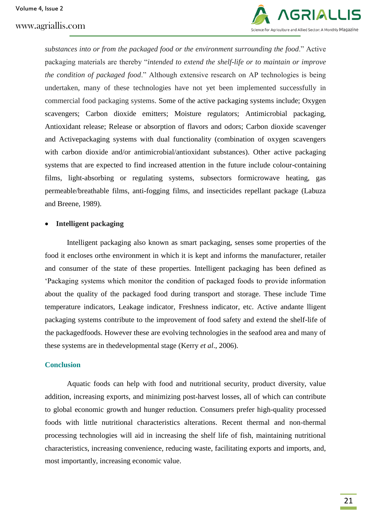

*substances into or from the packaged food or the environment surrounding the food*." Active packaging materials are thereby "*intended to extend the shelf-life or to maintain or improve the condition of packaged food*." Although extensive research on AP technologies is being undertaken, many of these technologies have not yet been implemented successfully in commercial food packaging systems. Some of the active packaging systems include; Oxygen scavengers; Carbon dioxide emitters; Moisture regulators; Antimicrobial packaging, Antioxidant release; Release or absorption of flavors and odors; Carbon dioxide scavenger and Activepackaging systems with dual functionality (combination of oxygen scavengers with carbon dioxide and/or antimicrobial/antioxidant substances). Other active packaging systems that are expected to find increased attention in the future include colour-containing films, light-absorbing or regulating systems, subsectors formicrowave heating, gas permeable/breathable films, anti-fogging films, and insecticides repellant package (Labuza and Breene, 1989).

# **Intelligent packaging**

Intelligent packaging also known as smart packaging, senses some properties of the food it encloses orthe environment in which it is kept and informs the manufacturer, retailer and consumer of the state of these properties. Intelligent packaging has been defined as "Packaging systems which monitor the condition of packaged foods to provide information about the quality of the packaged food during transport and storage. These include Time temperature indicators, Leakage indicator, Freshness indicator, etc. Active andante lligent packaging systems contribute to the improvement of food safety and extend the shelf-life of the packagedfoods. However these are evolving technologies in the seafood area and many of these systems are in thedevelopmental stage (Kerry *et al*., 2006).

# **Conclusion**

Aquatic foods can help with food and nutritional security, product diversity, value addition, increasing exports, and minimizing post-harvest losses, all of which can contribute to global economic growth and hunger reduction. Consumers prefer high-quality processed foods with little nutritional characteristics alterations. Recent thermal and non-thermal processing technologies will aid in increasing the shelf life of fish, maintaining nutritional characteristics, increasing convenience, reducing waste, facilitating exports and imports, and, most importantly, increasing economic value.